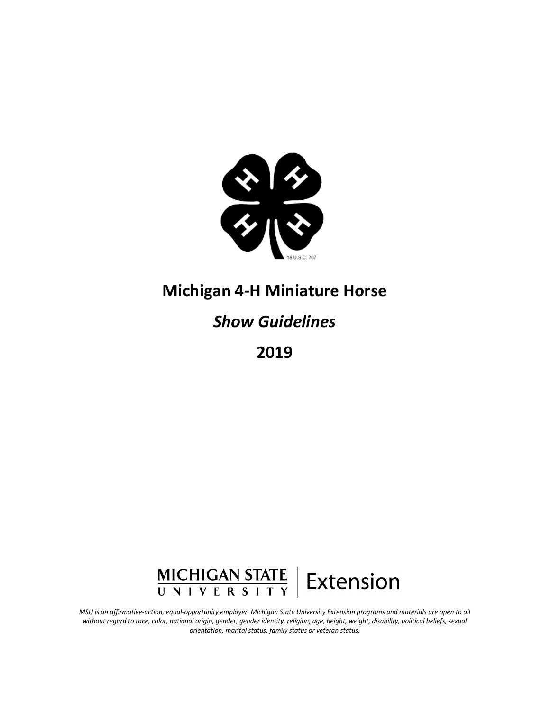

## **Michigan 4-H Miniature Horse**

# *Show Guidelines*

**2019**



*MSU is an affirmative-action, equal-opportunity employer. Michigan State University Extension programs and materials are open to all without regard to race, color, national origin, gender, gender identity, religion, age, height, weight, disability, political beliefs, sexual orientation, marital status, family status or veteran status.*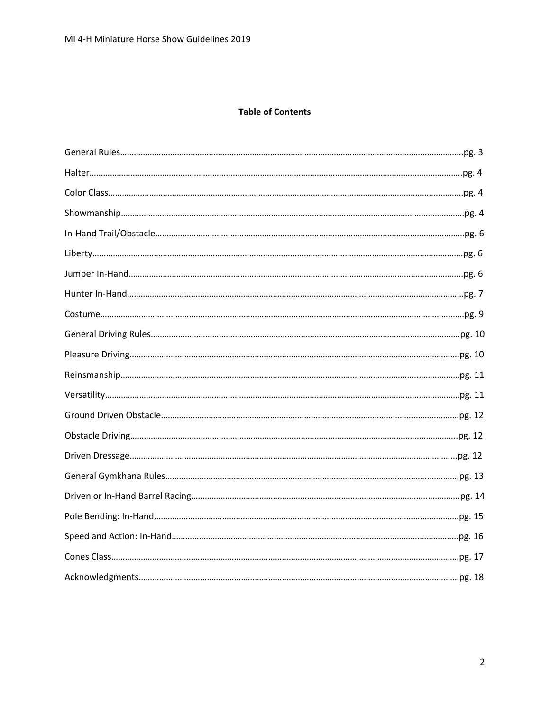## **Table of Contents**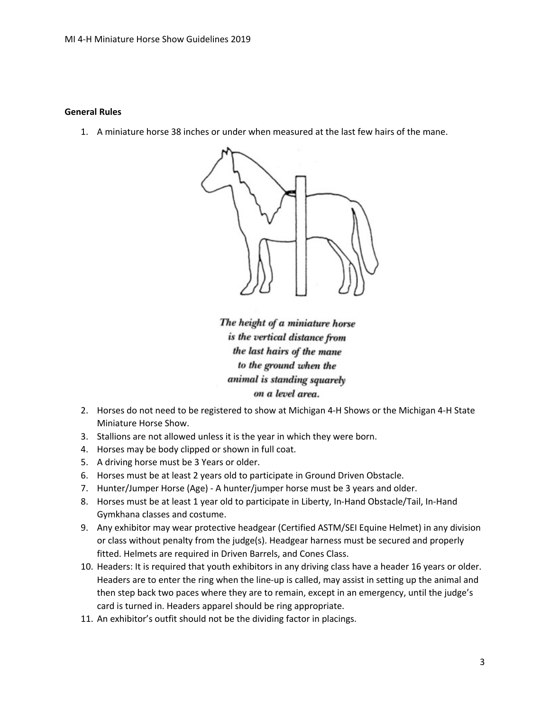#### **General Rules**

1. A miniature horse 38 inches or under when measured at the last few hairs of the mane.



The height of a miniature horse is the vertical distance from the last hairs of the mane to the ground when the animal is standing squarely on a level area.

- 2. Horses do not need to be registered to show at Michigan 4-H Shows or the Michigan 4-H State Miniature Horse Show.
- 3. Stallions are not allowed unless it is the year in which they were born.
- 4. Horses may be body clipped or shown in full coat.
- 5. A driving horse must be 3 Years or older.
- 6. Horses must be at least 2 years old to participate in Ground Driven Obstacle.
- 7. Hunter/Jumper Horse (Age) A hunter/jumper horse must be 3 years and older.
- 8. Horses must be at least 1 year old to participate in Liberty, In-Hand Obstacle/Tail, In-Hand Gymkhana classes and costume.
- 9. Any exhibitor may wear protective headgear (Certified ASTM/SEI Equine Helmet) in any division or class without penalty from the judge(s). Headgear harness must be secured and properly fitted. Helmets are required in Driven Barrels, and Cones Class.
- 10. Headers: It is required that youth exhibitors in any driving class have a header 16 years or older. Headers are to enter the ring when the line-up is called, may assist in setting up the animal and then step back two paces where they are to remain, except in an emergency, until the judge's card is turned in. Headers apparel should be ring appropriate.
- 11. An exhibitor's outfit should not be the dividing factor in placings.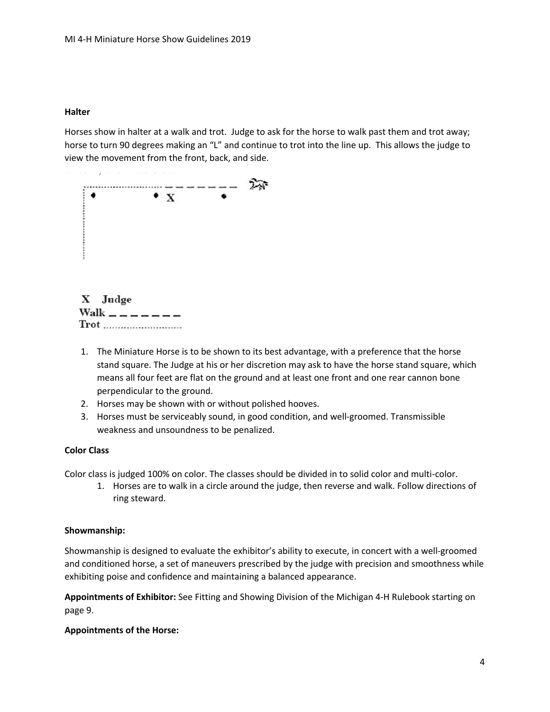#### **Halter**

Horses show in halter at a walk and trot. Judge to ask for the horse to walk past them and trot away; horse to turn 90 degrees making an "L" and continue to trot into the line up. This allows the judge to view the movement from the front, back, and side.



- 1. The Miniature Horse is to be shown to its best advantage, with a preference that the horse stand square. The Judge at his or her discretion may ask to have the horse stand square, which means all four feet are flat on the ground and at least one front and one rear cannon bone perpendicular to the ground.
- 2. Horses may be shown with or without polished hooves.
- 3. Horses must be serviceably sound, in good condition, and well-groomed. Transmissible weakness and unsoundness to be penalized.

## **Color Class**

Color class is judged 100% on color. The classes should be divided in to solid color and multi-color.

1. Horses are to walk in a circle around the judge, then reverse and walk. Follow directions of ring steward.

#### **Showmanship:**

Showmanship is designed to evaluate the exhibitor's ability to execute, in concert with a well-groomed and conditioned horse, a set of maneuvers prescribed by the judge with precision and smoothness while exhibiting poise and confidence and maintaining a balanced appearance.

**Appointments of Exhibitor:** See Fitting and Showing Division of the Michigan 4-H Rulebook starting on page 9.

#### **Appointments of the Horse:**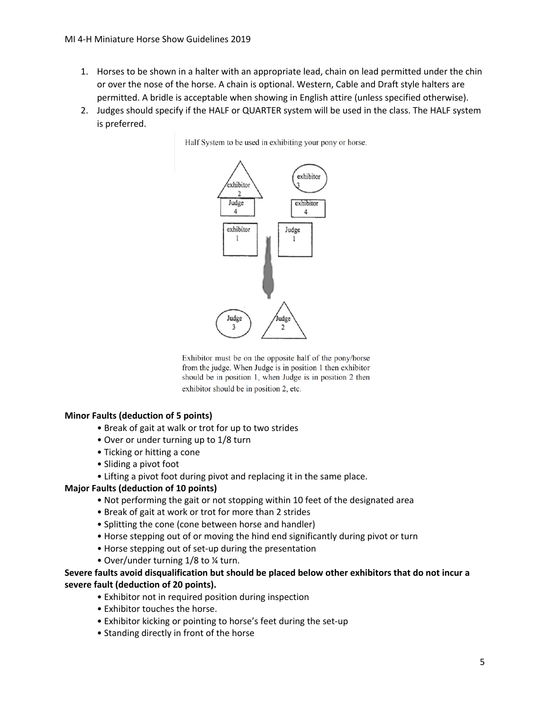- 1. Horses to be shown in a halter with an appropriate lead, chain on lead permitted under the chin or over the nose of the horse. A chain is optional. Western, Cable and Draft style halters are permitted. A bridle is acceptable when showing in English attire (unless specified otherwise).
- 2. Judges should specify if the HALF or QUARTER system will be used in the class. The HALF system is preferred.



Exhibitor must be on the opposite half of the pony/horse from the judge. When Judge is in position 1 then exhibitor should be in position 1, when Judge is in position 2 then exhibitor should be in position 2, etc.

#### **Minor Faults (deduction of 5 points)**

- Break of gait at walk or trot for up to two strides
- Over or under turning up to 1/8 turn
- Ticking or hitting a cone
- Sliding a pivot foot
- Lifting a pivot foot during pivot and replacing it in the same place.

#### **Major Faults (deduction of 10 points)**

- Not performing the gait or not stopping within 10 feet of the designated area
- Break of gait at work or trot for more than 2 strides
- Splitting the cone (cone between horse and handler)
- Horse stepping out of or moving the hind end significantly during pivot or turn
- Horse stepping out of set-up during the presentation
- Over/under turning 1/8 to ¼ turn.

## **Severe faults avoid disqualification but should be placed below other exhibitors that do not incur a severe fault (deduction of 20 points).**

- Exhibitor not in required position during inspection
- Exhibitor touches the horse.
- Exhibitor kicking or pointing to horse's feet during the set-up
- Standing directly in front of the horse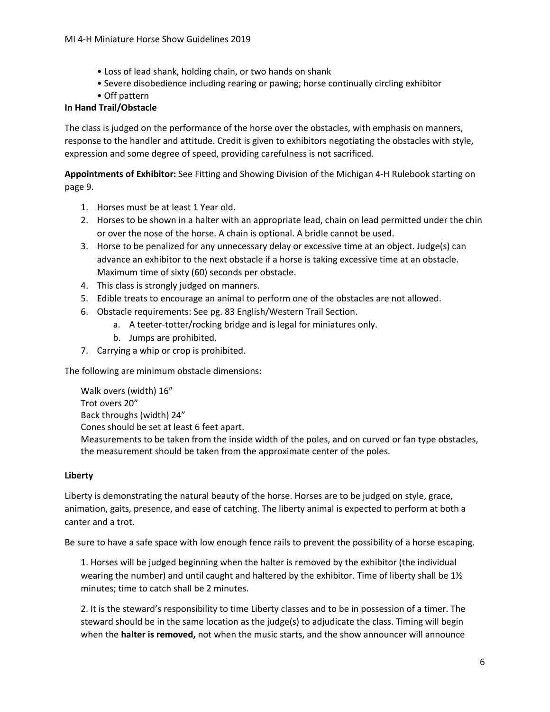- Loss of lead shank, holding chain, or two hands on shank
- Severe disobedience including rearing or pawing; horse continually circling exhibitor
- Off pattern

## **In Hand Trail/Obstacle**

The class is judged on the performance of the horse over the obstacles, with emphasis on manners, response to the handler and attitude. Credit is given to exhibitors negotiating the obstacles with style, expression and some degree of speed, providing carefulness is not sacrificed.

**Appointments of Exhibitor:** See Fitting and Showing Division of the Michigan 4-H Rulebook starting on page 9.

- 1. Horses must be at least 1 Year old.
- 2. Horses to be shown in a halter with an appropriate lead, chain on lead permitted under the chin or over the nose of the horse. A chain is optional. A bridle cannot be used.
- 3. Horse to be penalized for any unnecessary delay or excessive time at an object. Judge(s) can advance an exhibitor to the next obstacle if a horse is taking excessive time at an obstacle. Maximum time of sixty (60) seconds per obstacle.
- 4. This class is strongly judged on manners.
- 5. Edible treats to encourage an animal to perform one of the obstacles are not allowed.
- 6. Obstacle requirements: See pg. 83 English/Western Trail Section.
	- a. A teeter-totter/rocking bridge and is legal for miniatures only.
	- b. Jumps are prohibited.
- 7. Carrying a whip or crop is prohibited.

The following are minimum obstacle dimensions:

Walk overs (width) 16" Trot overs 20" Back throughs (width) 24" Cones should be set at least 6 feet apart. Measurements to be taken from the inside width of the poles, and on curved or fan type obstacles, the measurement should be taken from the approximate center of the poles.

## **Liberty**

Liberty is demonstrating the natural beauty of the horse. Horses are to be judged on style, grace, animation, gaits, presence, and ease of catching. The liberty animal is expected to perform at both a canter and a trot.

Be sure to have a safe space with low enough fence rails to prevent the possibility of a horse escaping.

1. Horses will be judged beginning when the halter is removed by the exhibitor (the individual wearing the number) and until caught and haltered by the exhibitor. Time of liberty shall be  $1\frac{1}{2}$ minutes; time to catch shall be 2 minutes.

2. It is the steward's responsibility to time Liberty classes and to be in possession of a timer. The steward should be in the same location as the judge(s) to adjudicate the class. Timing will begin when the **halter is removed,** not when the music starts, and the show announcer will announce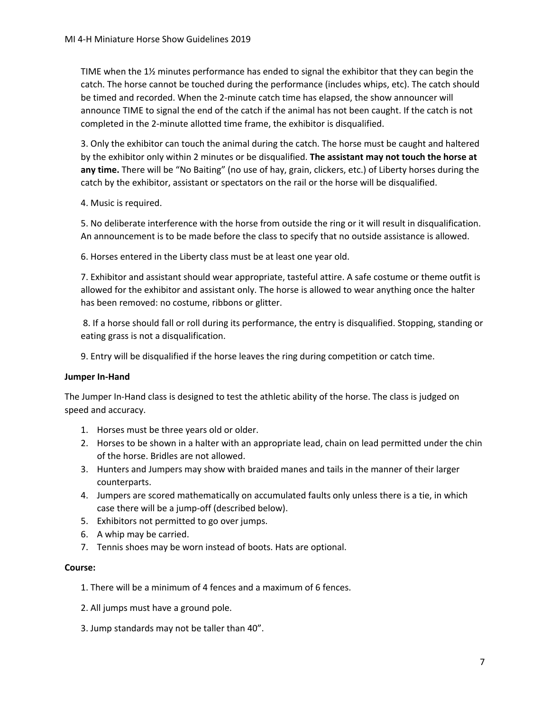TIME when the 1½ minutes performance has ended to signal the exhibitor that they can begin the catch. The horse cannot be touched during the performance (includes whips, etc). The catch should be timed and recorded. When the 2-minute catch time has elapsed, the show announcer will announce TIME to signal the end of the catch if the animal has not been caught. If the catch is not completed in the 2-minute allotted time frame, the exhibitor is disqualified.

3. Only the exhibitor can touch the animal during the catch. The horse must be caught and haltered by the exhibitor only within 2 minutes or be disqualified. **The assistant may not touch the horse at any time.** There will be "No Baiting" (no use of hay, grain, clickers, etc.) of Liberty horses during the catch by the exhibitor, assistant or spectators on the rail or the horse will be disqualified.

4. Music is required.

5. No deliberate interference with the horse from outside the ring or it will result in disqualification. An announcement is to be made before the class to specify that no outside assistance is allowed.

6. Horses entered in the Liberty class must be at least one year old.

7. Exhibitor and assistant should wear appropriate, tasteful attire. A safe costume or theme outfit is allowed for the exhibitor and assistant only. The horse is allowed to wear anything once the halter has been removed: no costume, ribbons or glitter.

8. If a horse should fall or roll during its performance, the entry is disqualified. Stopping, standing or eating grass is not a disqualification.

9. Entry will be disqualified if the horse leaves the ring during competition or catch time.

## **Jumper In-Hand**

The Jumper In-Hand class is designed to test the athletic ability of the horse. The class is judged on speed and accuracy.

- 1. Horses must be three years old or older.
- 2. Horses to be shown in a halter with an appropriate lead, chain on lead permitted under the chin of the horse. Bridles are not allowed.
- 3. Hunters and Jumpers may show with braided manes and tails in the manner of their larger counterparts.
- 4. Jumpers are scored mathematically on accumulated faults only unless there is a tie, in which case there will be a jump-off (described below).
- 5. Exhibitors not permitted to go over jumps.
- 6. A whip may be carried.
- 7. Tennis shoes may be worn instead of boots. Hats are optional.

## **Course:**

- 1. There will be a minimum of 4 fences and a maximum of 6 fences.
- 2. All jumps must have a ground pole.
- 3. Jump standards may not be taller than 40".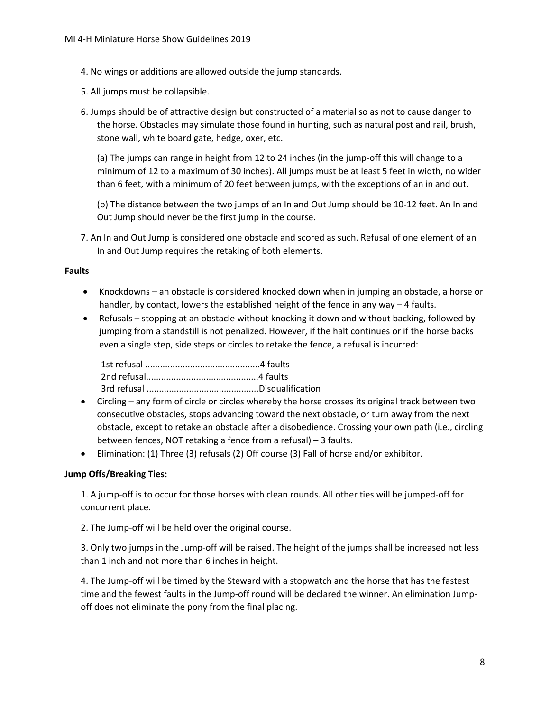- 4. No wings or additions are allowed outside the jump standards.
- 5. All jumps must be collapsible.
- 6. Jumps should be of attractive design but constructed of a material so as not to cause danger to the horse. Obstacles may simulate those found in hunting, such as natural post and rail, brush, stone wall, white board gate, hedge, oxer, etc.

(a) The jumps can range in height from 12 to 24 inches (in the jump-off this will change to a minimum of 12 to a maximum of 30 inches). All jumps must be at least 5 feet in width, no wider than 6 feet, with a minimum of 20 feet between jumps, with the exceptions of an in and out.

(b) The distance between the two jumps of an In and Out Jump should be 10-12 feet. An In and Out Jump should never be the first jump in the course.

7. An In and Out Jump is considered one obstacle and scored as such. Refusal of one element of an In and Out Jump requires the retaking of both elements.

## **Faults**

- Knockdowns an obstacle is considered knocked down when in jumping an obstacle, a horse or handler, by contact, lowers the established height of the fence in any way – 4 faults.
- Refusals stopping at an obstacle without knocking it down and without backing, followed by jumping from a standstill is not penalized. However, if the halt continues or if the horse backs even a single step, side steps or circles to retake the fence, a refusal is incurred:

1st refusal ..............................................4 faults 2nd refusal.............................................4 faults 3rd refusal .............................................Disqualification

- Circling any form of circle or circles whereby the horse crosses its original track between two consecutive obstacles, stops advancing toward the next obstacle, or turn away from the next obstacle, except to retake an obstacle after a disobedience. Crossing your own path (i.e., circling between fences, NOT retaking a fence from a refusal) – 3 faults.
- Elimination: (1) Three (3) refusals (2) Off course (3) Fall of horse and/or exhibitor.

## **Jump Offs/Breaking Ties:**

1. A jump-off is to occur for those horses with clean rounds. All other ties will be jumped-off for concurrent place.

2. The Jump-off will be held over the original course.

3. Only two jumps in the Jump-off will be raised. The height of the jumps shall be increased not less than 1 inch and not more than 6 inches in height.

4. The Jump-off will be timed by the Steward with a stopwatch and the horse that has the fastest time and the fewest faults in the Jump-off round will be declared the winner. An elimination Jumpoff does not eliminate the pony from the final placing.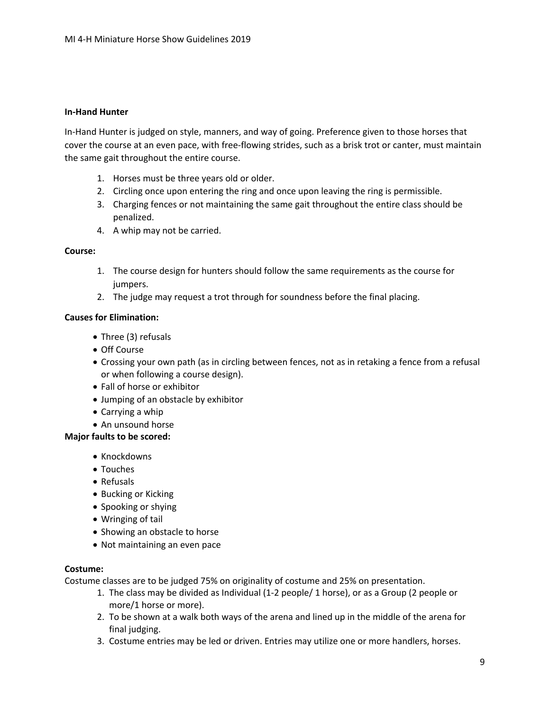#### **In-Hand Hunter**

In-Hand Hunter is judged on style, manners, and way of going. Preference given to those horses that cover the course at an even pace, with free-flowing strides, such as a brisk trot or canter, must maintain the same gait throughout the entire course.

- 1. Horses must be three years old or older.
- 2. Circling once upon entering the ring and once upon leaving the ring is permissible.
- 3. Charging fences or not maintaining the same gait throughout the entire class should be penalized.
- 4. A whip may not be carried.

#### **Course:**

- 1. The course design for hunters should follow the same requirements as the course for jumpers.
- 2. The judge may request a trot through for soundness before the final placing.

#### **Causes for Elimination:**

- Three (3) refusals
- Off Course
- Crossing your own path (as in circling between fences, not as in retaking a fence from a refusal or when following a course design).
- Fall of horse or exhibitor
- Jumping of an obstacle by exhibitor
- Carrying a whip
- An unsound horse

#### **Major faults to be scored:**

- Knockdowns
- Touches
- Refusals
- Bucking or Kicking
- Spooking or shying
- Wringing of tail
- Showing an obstacle to horse
- Not maintaining an even pace

#### **Costume:**

Costume classes are to be judged 75% on originality of costume and 25% on presentation.

- 1. The class may be divided as Individual (1-2 people/ 1 horse), or as a Group (2 people or more/1 horse or more).
- 2. To be shown at a walk both ways of the arena and lined up in the middle of the arena for final judging.
- 3. Costume entries may be led or driven. Entries may utilize one or more handlers, horses.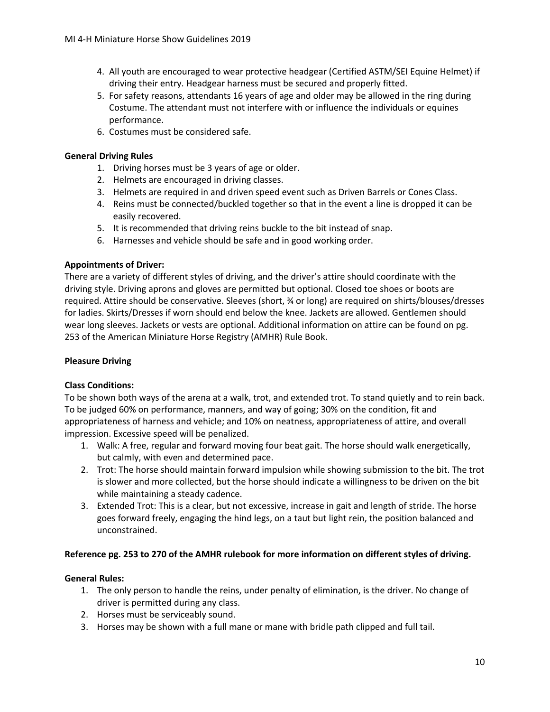- 4. All youth are encouraged to wear protective headgear (Certified ASTM/SEI Equine Helmet) if driving their entry. Headgear harness must be secured and properly fitted.
- 5. For safety reasons, attendants 16 years of age and older may be allowed in the ring during Costume. The attendant must not interfere with or influence the individuals or equines performance.
- 6. Costumes must be considered safe.

## **General Driving Rules**

- 1. Driving horses must be 3 years of age or older.
- 2. Helmets are encouraged in driving classes.
- 3. Helmets are required in and driven speed event such as Driven Barrels or Cones Class.
- 4. Reins must be connected/buckled together so that in the event a line is dropped it can be easily recovered.
- 5. It is recommended that driving reins buckle to the bit instead of snap.
- 6. Harnesses and vehicle should be safe and in good working order.

## **Appointments of Driver:**

There are a variety of different styles of driving, and the driver's attire should coordinate with the driving style. Driving aprons and gloves are permitted but optional. Closed toe shoes or boots are required. Attire should be conservative. Sleeves (short, ¾ or long) are required on shirts/blouses/dresses for ladies. Skirts/Dresses if worn should end below the knee. Jackets are allowed. Gentlemen should wear long sleeves. Jackets or vests are optional. Additional information on attire can be found on pg. 253 of the American Miniature Horse Registry (AMHR) Rule Book.

## **Pleasure Driving**

## **Class Conditions:**

To be shown both ways of the arena at a walk, trot, and extended trot. To stand quietly and to rein back. To be judged 60% on performance, manners, and way of going; 30% on the condition, fit and appropriateness of harness and vehicle; and 10% on neatness, appropriateness of attire, and overall impression. Excessive speed will be penalized.

- 1. Walk: A free, regular and forward moving four beat gait. The horse should walk energetically, but calmly, with even and determined pace.
- 2. Trot: The horse should maintain forward impulsion while showing submission to the bit. The trot is slower and more collected, but the horse should indicate a willingness to be driven on the bit while maintaining a steady cadence.
- 3. Extended Trot: This is a clear, but not excessive, increase in gait and length of stride. The horse goes forward freely, engaging the hind legs, on a taut but light rein, the position balanced and unconstrained.

## **Reference pg. 253 to 270 of the AMHR rulebook for more information on different styles of driving.**

## **General Rules:**

- 1. The only person to handle the reins, under penalty of elimination, is the driver. No change of driver is permitted during any class.
- 2. Horses must be serviceably sound.
- 3. Horses may be shown with a full mane or mane with bridle path clipped and full tail.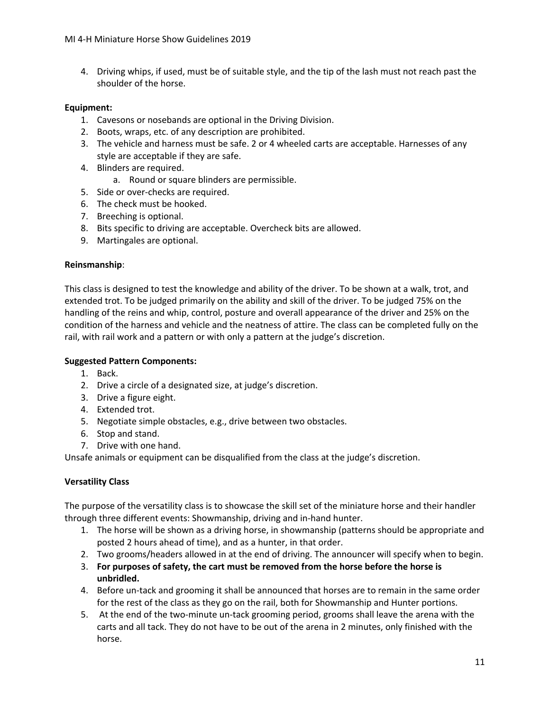4. Driving whips, if used, must be of suitable style, and the tip of the lash must not reach past the shoulder of the horse.

## **Equipment:**

- 1. Cavesons or nosebands are optional in the Driving Division.
- 2. Boots, wraps, etc. of any description are prohibited.
- 3. The vehicle and harness must be safe. 2 or 4 wheeled carts are acceptable. Harnesses of any style are acceptable if they are safe.
- 4. Blinders are required.
	- a. Round or square blinders are permissible.
- 5. Side or over-checks are required.
- 6. The check must be hooked.
- 7. Breeching is optional.
- 8. Bits specific to driving are acceptable. Overcheck bits are allowed.
- 9. Martingales are optional.

## **Reinsmanship**:

This class is designed to test the knowledge and ability of the driver. To be shown at a walk, trot, and extended trot. To be judged primarily on the ability and skill of the driver. To be judged 75% on the handling of the reins and whip, control, posture and overall appearance of the driver and 25% on the condition of the harness and vehicle and the neatness of attire. The class can be completed fully on the rail, with rail work and a pattern or with only a pattern at the judge's discretion.

## **Suggested Pattern Components:**

- 1. Back.
- 2. Drive a circle of a designated size, at judge's discretion.
- 3. Drive a figure eight.
- 4. Extended trot.
- 5. Negotiate simple obstacles, e.g., drive between two obstacles.
- 6. Stop and stand.
- 7. Drive with one hand.

Unsafe animals or equipment can be disqualified from the class at the judge's discretion.

## **Versatility Class**

The purpose of the versatility class is to showcase the skill set of the miniature horse and their handler through three different events: Showmanship, driving and in-hand hunter.

- 1. The horse will be shown as a driving horse, in showmanship (patterns should be appropriate and posted 2 hours ahead of time), and as a hunter, in that order.
- 2. Two grooms/headers allowed in at the end of driving. The announcer will specify when to begin.
- 3. **For purposes of safety, the cart must be removed from the horse before the horse is unbridled.**
- 4. Before un-tack and grooming it shall be announced that horses are to remain in the same order for the rest of the class as they go on the rail, both for Showmanship and Hunter portions.
- 5. At the end of the two-minute un-tack grooming period, grooms shall leave the arena with the carts and all tack. They do not have to be out of the arena in 2 minutes, only finished with the horse.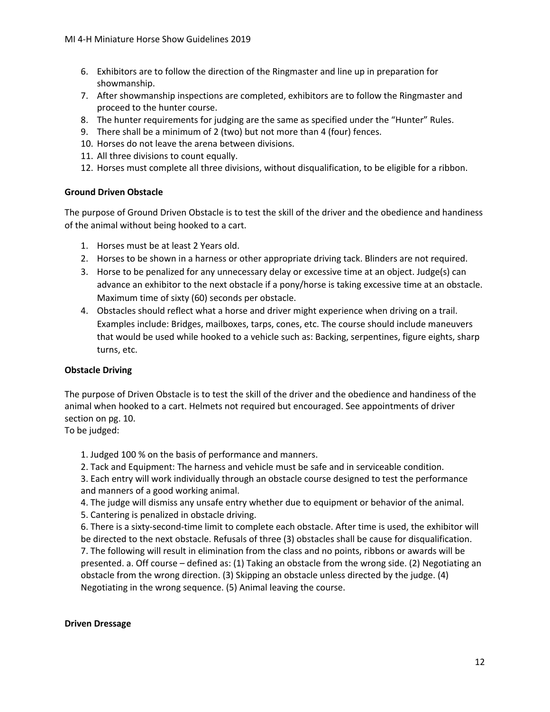- 6. Exhibitors are to follow the direction of the Ringmaster and line up in preparation for showmanship.
- 7. After showmanship inspections are completed, exhibitors are to follow the Ringmaster and proceed to the hunter course.
- 8. The hunter requirements for judging are the same as specified under the "Hunter" Rules.
- 9. There shall be a minimum of 2 (two) but not more than 4 (four) fences.
- 10. Horses do not leave the arena between divisions.
- 11. All three divisions to count equally.
- 12. Horses must complete all three divisions, without disqualification, to be eligible for a ribbon.

## **Ground Driven Obstacle**

The purpose of Ground Driven Obstacle is to test the skill of the driver and the obedience and handiness of the animal without being hooked to a cart.

- 1. Horses must be at least 2 Years old.
- 2. Horses to be shown in a harness or other appropriate driving tack. Blinders are not required.
- 3. Horse to be penalized for any unnecessary delay or excessive time at an object. Judge(s) can advance an exhibitor to the next obstacle if a pony/horse is taking excessive time at an obstacle. Maximum time of sixty (60) seconds per obstacle.
- 4. Obstacles should reflect what a horse and driver might experience when driving on a trail. Examples include: Bridges, mailboxes, tarps, cones, etc. The course should include maneuvers that would be used while hooked to a vehicle such as: Backing, serpentines, figure eights, sharp turns, etc.

## **Obstacle Driving**

The purpose of Driven Obstacle is to test the skill of the driver and the obedience and handiness of the animal when hooked to a cart. Helmets not required but encouraged. See appointments of driver section on pg. 10.

To be judged:

1. Judged 100 % on the basis of performance and manners.

2. Tack and Equipment: The harness and vehicle must be safe and in serviceable condition.

3. Each entry will work individually through an obstacle course designed to test the performance and manners of a good working animal.

4. The judge will dismiss any unsafe entry whether due to equipment or behavior of the animal.

5. Cantering is penalized in obstacle driving.

6. There is a sixty-second-time limit to complete each obstacle. After time is used, the exhibitor will be directed to the next obstacle. Refusals of three (3) obstacles shall be cause for disqualification. 7. The following will result in elimination from the class and no points, ribbons or awards will be presented. a. Off course – defined as: (1) Taking an obstacle from the wrong side. (2) Negotiating an obstacle from the wrong direction. (3) Skipping an obstacle unless directed by the judge. (4) Negotiating in the wrong sequence. (5) Animal leaving the course.

## **Driven Dressage**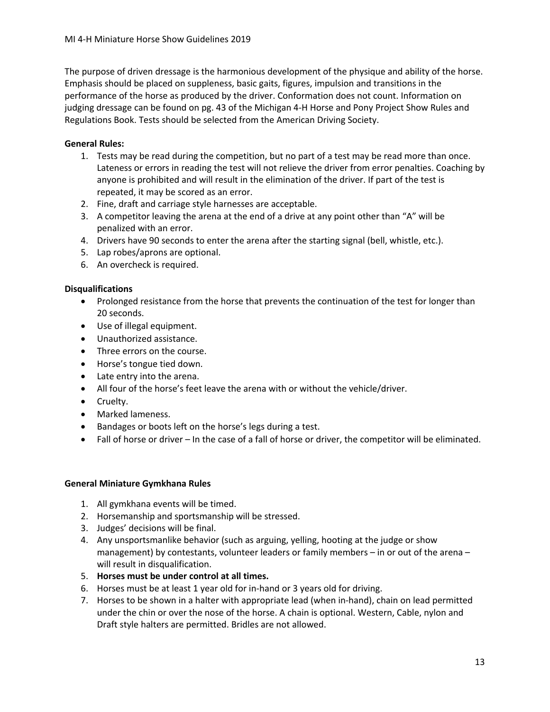The purpose of driven dressage is the harmonious development of the physique and ability of the horse. Emphasis should be placed on suppleness, basic gaits, figures, impulsion and transitions in the performance of the horse as produced by the driver. Conformation does not count. Information on judging dressage can be found on pg. 43 of the Michigan 4-H Horse and Pony Project Show Rules and Regulations Book. Tests should be selected from the American Driving Society.

## **General Rules:**

- 1. Tests may be read during the competition, but no part of a test may be read more than once. Lateness or errors in reading the test will not relieve the driver from error penalties. Coaching by anyone is prohibited and will result in the elimination of the driver. If part of the test is repeated, it may be scored as an error.
- 2. Fine, draft and carriage style harnesses are acceptable.
- 3. A competitor leaving the arena at the end of a drive at any point other than "A" will be penalized with an error.
- 4. Drivers have 90 seconds to enter the arena after the starting signal (bell, whistle, etc.).
- 5. Lap robes/aprons are optional.
- 6. An overcheck is required.

## **Disqualifications**

- Prolonged resistance from the horse that prevents the continuation of the test for longer than 20 seconds.
- Use of illegal equipment.
- Unauthorized assistance.
- Three errors on the course.
- Horse's tongue tied down.
- Late entry into the arena.
- All four of the horse's feet leave the arena with or without the vehicle/driver.
- Cruelty.
- Marked lameness.
- Bandages or boots left on the horse's legs during a test.
- Fall of horse or driver In the case of a fall of horse or driver, the competitor will be eliminated.

#### **General Miniature Gymkhana Rules**

- 1. All gymkhana events will be timed.
- 2. Horsemanship and sportsmanship will be stressed.
- 3. Judges' decisions will be final.
- 4. Any unsportsmanlike behavior (such as arguing, yelling, hooting at the judge or show management) by contestants, volunteer leaders or family members – in or out of the arena – will result in disqualification.
- 5. **Horses must be under control at all times.**
- 6. Horses must be at least 1 year old for in-hand or 3 years old for driving.
- 7. Horses to be shown in a halter with appropriate lead (when in-hand), chain on lead permitted under the chin or over the nose of the horse. A chain is optional. Western, Cable, nylon and Draft style halters are permitted. Bridles are not allowed.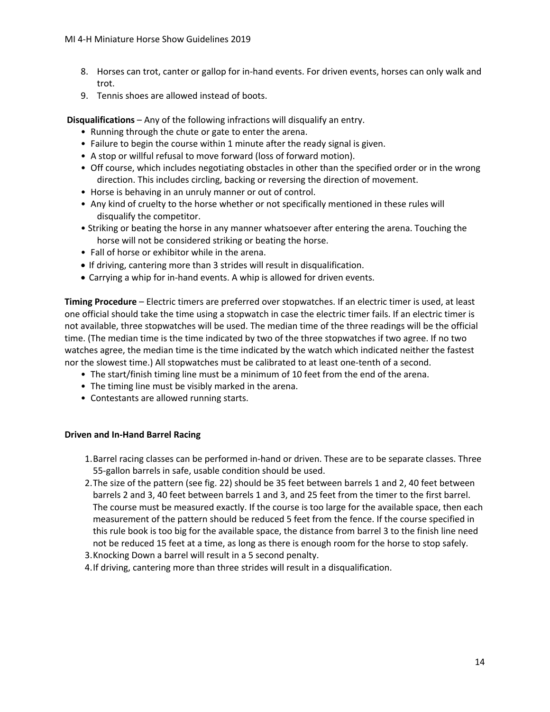- 8. Horses can trot, canter or gallop for in-hand events. For driven events, horses can only walk and trot.
- 9. Tennis shoes are allowed instead of boots.

**Disqualifications** – Any of the following infractions will disqualify an entry.

- Running through the chute or gate to enter the arena.
- Failure to begin the course within 1 minute after the ready signal is given.
- A stop or willful refusal to move forward (loss of forward motion).
- Off course, which includes negotiating obstacles in other than the specified order or in the wrong direction. This includes circling, backing or reversing the direction of movement.
- Horse is behaving in an unruly manner or out of control.
- Any kind of cruelty to the horse whether or not specifically mentioned in these rules will disqualify the competitor.
- Striking or beating the horse in any manner whatsoever after entering the arena. Touching the horse will not be considered striking or beating the horse.
- Fall of horse or exhibitor while in the arena.
- If driving, cantering more than 3 strides will result in disqualification.
- Carrying a whip for in-hand events. A whip is allowed for driven events.

**Timing Procedure** – Electric timers are preferred over stopwatches. If an electric timer is used, at least one official should take the time using a stopwatch in case the electric timer fails. If an electric timer is not available, three stopwatches will be used. The median time of the three readings will be the official time. (The median time is the time indicated by two of the three stopwatches if two agree. If no two watches agree, the median time is the time indicated by the watch which indicated neither the fastest nor the slowest time.) All stopwatches must be calibrated to at least one-tenth of a second.

- The start/finish timing line must be a minimum of 10 feet from the end of the arena.
- The timing line must be visibly marked in the arena.
- Contestants are allowed running starts.

## **Driven and In-Hand Barrel Racing**

- 1.Barrel racing classes can be performed in-hand or driven. These are to be separate classes. Three 55-gallon barrels in safe, usable condition should be used.
- 2.The size of the pattern (see fig. 22) should be 35 feet between barrels 1 and 2, 40 feet between barrels 2 and 3, 40 feet between barrels 1 and 3, and 25 feet from the timer to the first barrel. The course must be measured exactly. If the course is too large for the available space, then each measurement of the pattern should be reduced 5 feet from the fence. If the course specified in this rule book is too big for the available space, the distance from barrel 3 to the finish line need not be reduced 15 feet at a time, as long as there is enough room for the horse to stop safely.
- 3.Knocking Down a barrel will result in a 5 second penalty.
- 4.If driving, cantering more than three strides will result in a disqualification.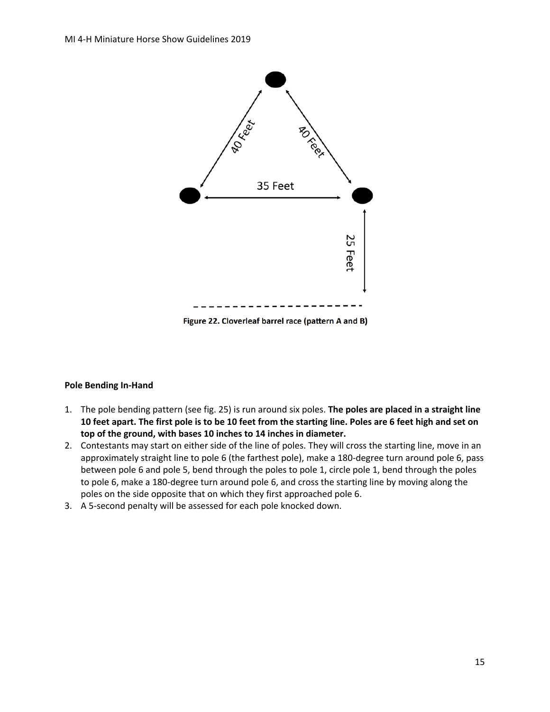

Figure 22. Cloverleaf barrel race (pattern A and B)

## **Pole Bending In-Hand**

- 1. The pole bending pattern (see fig. 25) is run around six poles. **The poles are placed in a straight line 10 feet apart. The first pole is to be 10 feet from the starting line. Poles are 6 feet high and set on top of the ground, with bases 10 inches to 14 inches in diameter.**
- 2. Contestants may start on either side of the line of poles. They will cross the starting line, move in an approximately straight line to pole 6 (the farthest pole), make a 180-degree turn around pole 6, pass between pole 6 and pole 5, bend through the poles to pole 1, circle pole 1, bend through the poles to pole 6, make a 180-degree turn around pole 6, and cross the starting line by moving along the poles on the side opposite that on which they first approached pole 6.
- 3. A 5-second penalty will be assessed for each pole knocked down.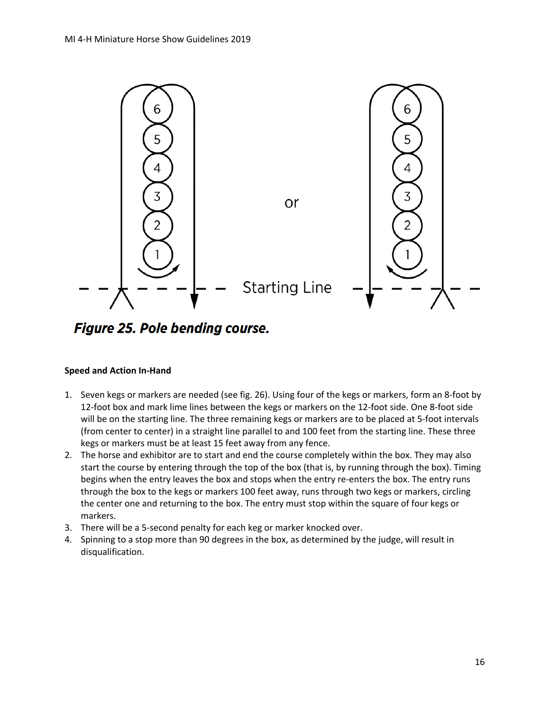

Figure 25. Pole bending course.

## **Speed and Action In-Hand**

- 1. Seven kegs or markers are needed (see fig. 26). Using four of the kegs or markers, form an 8-foot by 12-foot box and mark lime lines between the kegs or markers on the 12-foot side. One 8-foot side will be on the starting line. The three remaining kegs or markers are to be placed at 5-foot intervals (from center to center) in a straight line parallel to and 100 feet from the starting line. These three kegs or markers must be at least 15 feet away from any fence.
- 2. The horse and exhibitor are to start and end the course completely within the box. They may also start the course by entering through the top of the box (that is, by running through the box). Timing begins when the entry leaves the box and stops when the entry re-enters the box. The entry runs through the box to the kegs or markers 100 feet away, runs through two kegs or markers, circling the center one and returning to the box. The entry must stop within the square of four kegs or markers.
- 3. There will be a 5-second penalty for each keg or marker knocked over.
- 4. Spinning to a stop more than 90 degrees in the box, as determined by the judge, will result in disqualification.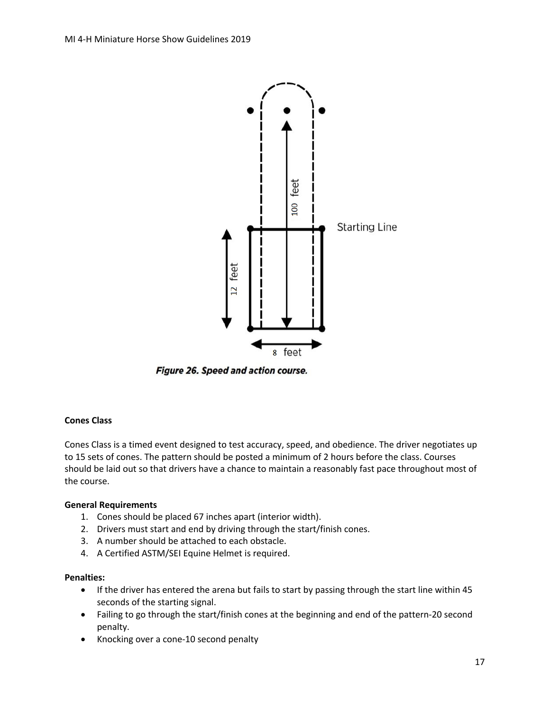

Figure 26. Speed and action course.

## **Cones Class**

Cones Class is a timed event designed to test accuracy, speed, and obedience. The driver negotiates up to 15 sets of cones. The pattern should be posted a minimum of 2 hours before the class. Courses should be laid out so that drivers have a chance to maintain a reasonably fast pace throughout most of the course.

#### **General Requirements**

- 1. Cones should be placed 67 inches apart (interior width).
- 2. Drivers must start and end by driving through the start/finish cones.
- 3. A number should be attached to each obstacle.
- 4. A Certified ASTM/SEI Equine Helmet is required.

#### **Penalties:**

- If the driver has entered the arena but fails to start by passing through the start line within 45 seconds of the starting signal.
- Failing to go through the start/finish cones at the beginning and end of the pattern-20 second penalty.
- Knocking over a cone-10 second penalty